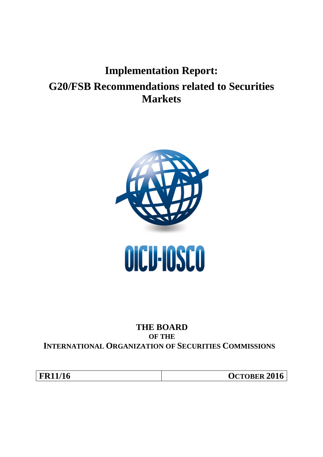# **Implementation Report: G20/FSB Recommendations related to Securities Markets**



# **THE BOARD OF THE INTERNATIONAL ORGANIZATION OF SECURITIES COMMISSIONS**

**FR11/16 OCTOBER 2016**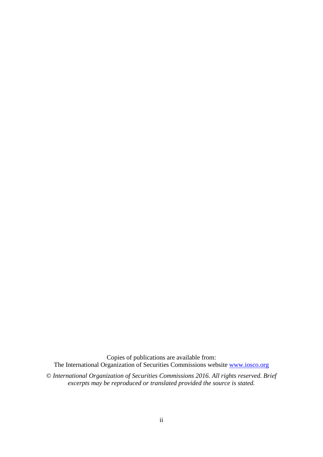Copies of publications are available from: The International Organization of Securities Commissions website [www.iosco.org](http://www.iosco.org/)

© *International Organization of Securities Commissions 2016. All rights reserved. Brief excerpts may be reproduced or translated provided the source is stated.*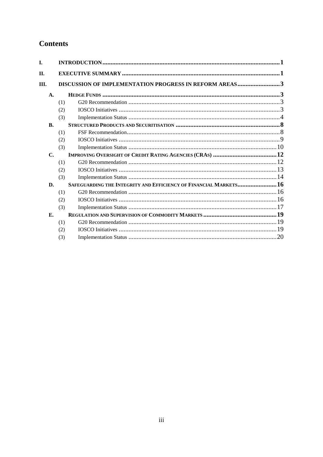# **Contents**

| I.             |     |                                                                  |  |
|----------------|-----|------------------------------------------------------------------|--|
| П.             |     |                                                                  |  |
| III.           |     | DISCUSSION OF IMPLEMENTATION PROGRESS IN REFORM AREAS3           |  |
| $\mathbf{A}$ . |     |                                                                  |  |
|                | (1) |                                                                  |  |
|                | (2) |                                                                  |  |
|                | (3) |                                                                  |  |
| B.             |     |                                                                  |  |
|                | (1) |                                                                  |  |
|                | (2) |                                                                  |  |
|                | (3) |                                                                  |  |
| $\mathbf{C}$ . |     |                                                                  |  |
|                | (1) |                                                                  |  |
|                | (2) |                                                                  |  |
|                | (3) |                                                                  |  |
| D.             |     | SAFEGUARDING THE INTEGRITY AND EFFICIENCY OF FINANCIAL MARKETS16 |  |
|                | (1) |                                                                  |  |
|                | (2) |                                                                  |  |
|                | (3) |                                                                  |  |
| Е.             |     |                                                                  |  |
|                | (1) |                                                                  |  |
|                | (2) |                                                                  |  |
|                | (3) |                                                                  |  |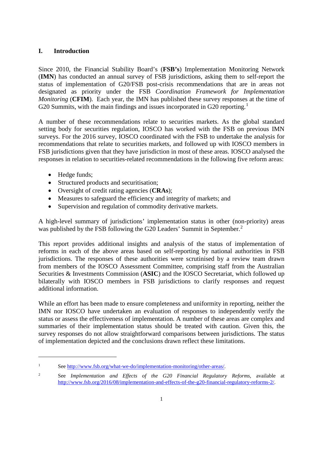## <span id="page-3-0"></span>**I. Introduction**

<span id="page-3-1"></span>Since 2010, the Financial Stability Board's (**FSB's**) Implementation Monitoring Network (**IMN**) has conducted an annual survey of FSB jurisdictions, asking them to self-report the status of implementation of G20/FSB post-crisis recommendations that are in areas not designated as priority under the FSB *Coordination Framework for Implementation Monitoring* (**CFIM**). Each year, the IMN has published these survey responses at the time of G20 Summits, with the main findings and issues incorporated in G20 reporting.<sup>[1](#page-3-2)</sup>

A number of these recommendations relate to securities markets. As the global standard setting body for securities regulation, IOSCO has worked with the FSB on previous IMN surveys. For the 2016 survey, IOSCO coordinated with the FSB to undertake the analysis for recommendations that relate to securities markets, and followed up with IOSCO members in FSB jurisdictions given that they have jurisdiction in most of these areas. IOSCO analysed the responses in relation to securities-related recommendations in the following five reform areas:

• Hedge funds;

<u>.</u>

- Structured products and securitisation;
- Oversight of credit rating agencies (**CRAs**);
- Measures to safeguard the efficiency and integrity of markets; and
- Supervision and regulation of commodity derivative markets.

A high-level summary of jurisdictions' implementation status in other (non-priority) areas was published by the FSB following the G[2](#page-3-3)0 Leaders' Summit in September.<sup>2</sup>

This report provides additional insights and analysis of the status of implementation of reforms in each of the above areas based on self-reporting by national authorities in FSB jurisdictions. The responses of these authorities were scrutinised by a review team drawn from members of the IOSCO Assessment Committee, comprising staff from the Australian Securities & Investments Commission (**ASIC**) and the IOSCO Secretariat, which followed up bilaterally with IOSCO members in FSB jurisdictions to clarify responses and request additional information.

While an effort has been made to ensure completeness and uniformity in reporting, neither the IMN nor IOSCO have undertaken an evaluation of responses to independently verify the status or assess the effectiveness of implementation. A number of these areas are complex and summaries of their implementation status should be treated with caution. Given this, the survey responses do not allow straightforward comparisons between jurisdictions. The status of implementation depicted and the conclusions drawn reflect these limitations.

<span id="page-3-2"></span><sup>&</sup>lt;sup>1</sup> See [http://www.fsb.org/what-we-do/implementation-monitoring/other-areas/.](http://www.fsb.org/what-we-do/implementation-monitoring/other-areas/)

<span id="page-3-3"></span><sup>2</sup> See *Implementation and Effects of the G20 Financial Regulatory Reforms*, available at [http://www.fsb.org/2016/08/implementation-and-effects-of-the-g20-financial-regulatory-reforms-2/.](http://www.fsb.org/2016/08/implementation-and-effects-of-the-g20-financial-regulatory-reforms-2/)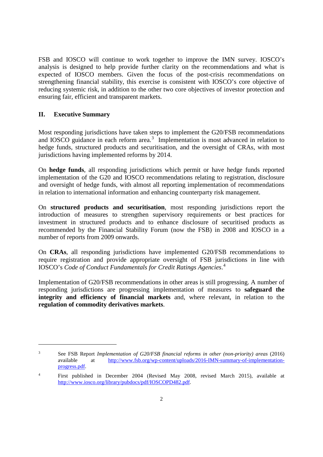FSB and IOSCO will continue to work together to improve the IMN survey. IOSCO's analysis is designed to help provide further clarity on the recommendations and what is expected of IOSCO members. Given the focus of the post-crisis recommendations on strengthening financial stability, this exercise is consistent with IOSCO's core objective of reducing systemic risk, in addition to the other two core objectives of investor protection and ensuring fair, efficient and transparent markets.

## **II. Executive Summary**

<u>.</u>

Most responding jurisdictions have taken steps to implement the G20/FSB recommendations and IOSCO guidance in each reform area.<sup>[3](#page-4-0)</sup> Implementation is most advanced in relation to hedge funds, structured products and securitisation, and the oversight of CRAs, with most jurisdictions having implemented reforms by 2014.

On **hedge funds**, all responding jurisdictions which permit or have hedge funds reported implementation of the G20 and IOSCO recommendations relating to registration, disclosure and oversight of hedge funds, with almost all reporting implementation of recommendations in relation to international information and enhancing counterparty risk management.

On **structured products and securitisation**, most responding jurisdictions report the introduction of measures to strengthen supervisory requirements or best practices for investment in structured products and to enhance disclosure of securitised products as recommended by the Financial Stability Forum (now the FSB) in 2008 and IOSCO in a number of reports from 2009 onwards.

On **CRAs**, all responding jurisdictions have implemented G20/FSB recommendations to require registration and provide appropriate oversight of FSB jurisdictions in line with IOSCO's *Code of Conduct Fundamentals for Credit Ratings Agencies*. [4](#page-4-1)

Implementation of G20/FSB recommendations in other areas is still progressing. A number of responding jurisdictions are progressing implementation of measures to **safeguard the integrity and efficiency of financial markets** and, where relevant, in relation to the **regulation of commodity derivatives markets**.

<span id="page-4-0"></span><sup>3</sup> See FSB Report *Implementation of G20/FSB financial reforms in other (non-priority) areas* (2016) available at [http://www.fsb.org/wp-content/uploads/2016-IMN-summary-of-implementation](http://www.fsb.org/wp-content/uploads/2016-IMN-summary-of-implementation-progress.pdf)[progress.pdf.](http://www.fsb.org/wp-content/uploads/2016-IMN-summary-of-implementation-progress.pdf)

<span id="page-4-1"></span><sup>4</sup> First published in December 2004 (Revised May 2008, revised March 2015), available at [http://www.iosco.org/library/pubdocs/pdf/IOSCOPD482.pdf.](http://www.iosco.org/library/pubdocs/pdf/IOSCOPD482.pdf)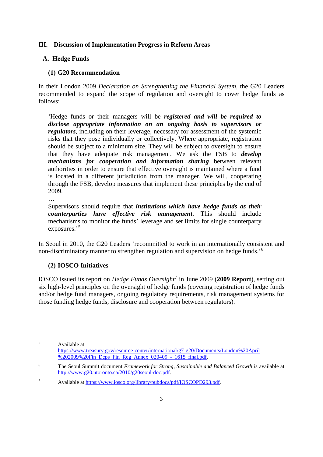#### <span id="page-5-0"></span>**III. Discussion of Implementation Progress in Reform Areas**

# <span id="page-5-1"></span>**A. Hedge Funds**

## <span id="page-5-2"></span>**(1) G20 Recommendation**

In their London 2009 *Declaration on Strengthening the Financial System*, the G20 Leaders recommended to expand the scope of regulation and oversight to cover hedge funds as follows:

'Hedge funds or their managers will be *registered and will be required to disclose appropriate information on an ongoing basis to supervisors or regulators*, including on their leverage, necessary for assessment of the systemic risks that they pose individually or collectively. Where appropriate, registration should be subject to a minimum size. They will be subject to oversight to ensure that they have adequate risk management. We ask the FSB to *develop mechanisms for cooperation and information sharing* between relevant authorities in order to ensure that effective oversight is maintained where a fund is located in a different jurisdiction from the manager. We will, cooperating through the FSB, develop measures that implement these principles by the end of 2009.

…

<u>.</u>

Supervisors should require that *institutions which have hedge funds as their counterparties have effective risk management*. This should include mechanisms to monitor the funds' leverage and set limits for single counterparty exposures.' [5](#page-5-4)

In Seoul in 2010, the G20 Leaders 'recommitted to work in an internationally consistent and non-discriminatory manner to strengthen regulation and supervision on hedge funds.'[6](#page-5-5)

#### <span id="page-5-3"></span>**(2) IOSCO Initiatives**

IOSCO issued its report on *Hedge Funds Oversight*[7](#page-5-6) in June 2009 (**2009 Report**), setting out six high-level principles on the oversight of hedge funds (covering registration of hedge funds and/or hedge fund managers, ongoing regulatory requirements, risk management systems for those funding hedge funds, disclosure and cooperation between regulators).

<span id="page-5-4"></span><sup>5</sup> Available at [https://www.treasury.gov/resource-center/international/g7-g20/Documents/London%20April](https://www.treasury.gov/resource-center/international/g7-g20/Documents/London%20April%202009%20Fin_Deps_Fin_Reg_Annex_020409_-_1615_final.pdf) [%202009%20Fin\\_Deps\\_Fin\\_Reg\\_Annex\\_020409\\_-\\_1615\\_final.pdf.](https://www.treasury.gov/resource-center/international/g7-g20/Documents/London%20April%202009%20Fin_Deps_Fin_Reg_Annex_020409_-_1615_final.pdf)

<span id="page-5-5"></span><sup>6</sup> The Seoul Summit document *Framework for Strong, Sustainable and Balanced Growth* is available at [http://www.g20.utoronto.ca/2010/g20seoul-doc.pdf.](http://www.g20.utoronto.ca/2010/g20seoul-doc.pdf)

<span id="page-5-6"></span><sup>7</sup> Available at [https://www.iosco.org/library/pubdocs/pdf/IOSCOPD293.pdf.](https://www.iosco.org/library/pubdocs/pdf/IOSCOPD293.pdf)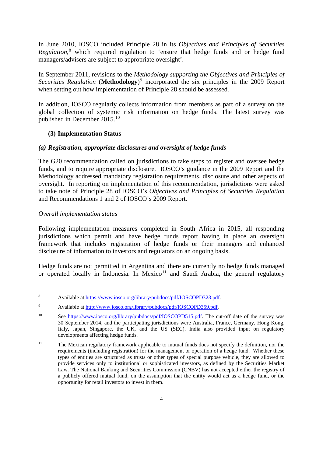In June 2010, IOSCO included Principle 28 in its *Objectives and Principles of Securities Regulation*, [8](#page-6-1) which required regulation to 'ensure that hedge funds and or hedge fund managers/advisers are subject to appropriate oversight'.

In September 2011, revisions to the *Methodology supporting the Objectives and Principles of Securities Regulation* (**Methodology**) [9](#page-6-2) incorporated the six principles in the 2009 Report when setting out how implementation of Principle 28 should be assessed.

In addition, IOSCO regularly collects information from members as part of a survey on the global collection of systemic risk information on hedge funds. The latest survey was published in December 2015.[10](#page-6-3)

#### <span id="page-6-0"></span>**(3) Implementation Status**

## *(a) Registration, appropriate disclosures and oversight of hedge funds*

The G20 recommendation called on jurisdictions to take steps to register and oversee hedge funds, and to require appropriate disclosure. IOSCO's guidance in the 2009 Report and the Methodology addressed mandatory registration requirements, disclosure and other aspects of oversight. In reporting on implementation of this recommendation, jurisdictions were asked to take note of Principle 28 of IOSCO's *Objectives and Principles of Securities Regulation* and Recommendations 1 and 2 of IOSCO's 2009 Report.

#### *Overall implementation status*

-

Following implementation measures completed in South Africa in 2015, all responding jurisdictions which permit and have hedge funds report having in place an oversight framework that includes registration of hedge funds or their managers and enhanced disclosure of information to investors and regulators on an ongoing basis.

Hedge funds are not permitted in Argentina and there are currently no hedge funds managed or operated locally in Indonesia. In Mexico $11$  and Saudi Arabia, the general regulatory

<span id="page-6-1"></span><sup>8</sup> Available at [https://www.iosco.org/library/pubdocs/pdf/IOSCOPD323.pdf.](https://www.iosco.org/library/pubdocs/pdf/IOSCOPD323.pdf)

<span id="page-6-2"></span><sup>9</sup> Available at [http://www.iosco.org/library/pubdocs/pdf/IOSCOPD359.pdf.](http://www.iosco.org/library/pubdocs/pdf/IOSCOPD359.pdf)

<span id="page-6-3"></span><sup>&</sup>lt;sup>10</sup> See [https://www.iosco.org/library/pubdocs/pdf/IOSCOPD515.pdf.](https://www.iosco.org/library/pubdocs/pdf/IOSCOPD515.pdf) The cut-off date of the survey was 30 September 2014, and the participating jurisdictions were Australia, France, Germany, Hong Kong, Italy, Japan, Singapore, the UK, and the US (SEC). India also provided input on regulatory developments affecting hedge funds.

<span id="page-6-4"></span><sup>&</sup>lt;sup>11</sup> The Mexican regulatory framework applicable to mutual funds does not specify the definition, nor the requirements (including registration) for the management or operation of a hedge fund. Whether these types of entities are structured as trusts or other types of special purpose vehicle, they are allowed to provide services only to institutional or sophisticated investors, as defined by the Securities Market Law. The National Banking and Securities Commission (CNBV) has not accepted either the registry of a publicly offered mutual fund, on the assumption that the entity would act as a hedge fund, or the opportunity for retail investors to invest in them.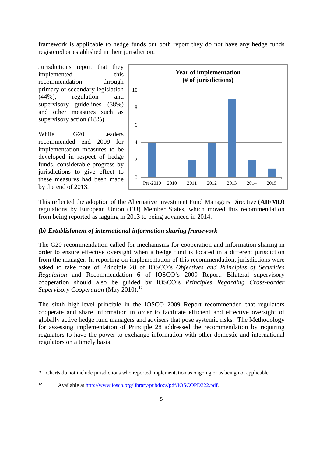framework is applicable to hedge funds but both report they do not have any hedge funds registered or established in their jurisdiction.

Jurisdictions report that they implemented this recommendation through primary or secondary legislation (44%), regulation and supervisory guidelines (38%) and other measures such as supervisory action (18%).

While G20 Leaders recommended end 2009 for implementation measures to be developed in respect of hedge funds, considerable progress by jurisdictions to give effect to these measures had been made by the end of 2013.

1



This reflected the adoption of the Alternative Investment Fund Managers Directive (**AIFMD**) regulations by European Union (**EU**) Member States, which moved this recommendation from being reported as lagging in 2013 to being advanced in 2014.

#### *(b) Establishment of international information sharing framework*

The G20 recommendation called for mechanisms for cooperation and information sharing in order to ensure effective oversight when a hedge fund is located in a different jurisdiction from the manager. In reporting on implementation of this recommendation, jurisdictions were asked to take note of Principle 28 of IOSCO's *Objectives and Principles of Securities Regulation* and Recommendation 6 of IOSCO's 2009 Report. Bilateral supervisory cooperation should also be guided by IOSCO's *Principles Regarding Cross-border Supervisory Cooperation* (May 2010). [12](#page-7-0)

The sixth high-level principle in the IOSCO 2009 Report recommended that regulators cooperate and share information in order to facilitate efficient and effective oversight of globally active hedge fund managers and advisers that pose systemic risks. The Methodology for assessing implementation of Principle 28 addressed the recommendation by requiring regulators to have the power to exchange information with other domestic and international regulators on a timely basis.

<span id="page-7-0"></span><sup>\*</sup> Charts do not include jurisdictions who reported implementation as ongoing or as being not applicable.

<sup>12</sup> Available at [http://www.iosco.org/library/pubdocs/pdf/IOSCOPD322.pdf.](http://www.iosco.org/library/pubdocs/pdf/IOSCOPD322.pdf)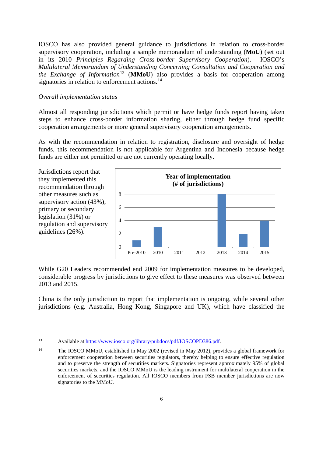IOSCO has also provided general guidance to jurisdictions in relation to cross-border supervisory cooperation, including a sample memorandum of understanding (**MoU**) (set out in its 2010 *Principles Regarding Cross-border Supervisory Cooperation*). IOSCO's *Multilateral Memorandum of Understanding Concerning Consultation and Cooperation and the Exchange of Information*<sup>[13](#page-8-0)</sup> (**MMoU**) also provides a basis for cooperation among signatories in relation to enforcement actions.<sup>[14](#page-8-1)</sup>

#### *Overall implementation status*

-

Almost all responding jurisdictions which permit or have hedge funds report having taken steps to enhance cross-border information sharing, either through hedge fund specific cooperation arrangements or more general supervisory cooperation arrangements.

As with the recommendation in relation to registration, disclosure and oversight of hedge funds, this recommendation is not applicable for Argentina and Indonesia because hedge funds are either not permitted or are not currently operating locally.



While G20 Leaders recommended end 2009 for implementation measures to be developed, considerable progress by jurisdictions to give effect to these measures was observed between 2013 and 2015.

China is the only jurisdiction to report that implementation is ongoing, while several other jurisdictions (e.g. Australia, Hong Kong, Singapore and UK), which have classified the

<span id="page-8-0"></span><sup>13</sup> Available at [https://www.iosco.org/library/pubdocs/pdf/IOSCOPD386.pdf.](https://www.iosco.org/library/pubdocs/pdf/IOSCOPD386.pdf)

<span id="page-8-1"></span><sup>14</sup> The IOSCO MMoU, established in May 2002 (revised in May 2012), provides a global framework for enforcement cooperation between securities regulators, thereby helping to ensure effective regulation and to preserve the strength of securities markets. Signatories represent approximately 95% of global securities markets, and the IOSCO MMoU is the leading instrument for multilateral cooperation in the enforcement of securities regulation. All IOSCO members from FSB member jurisdictions are now signatories to the MMoU.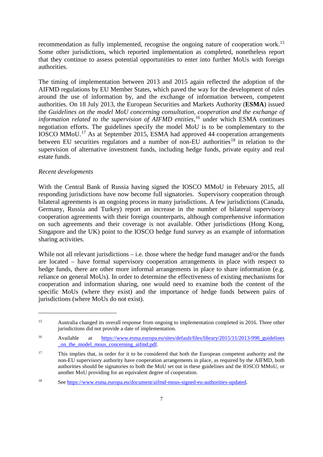recommendation as fully implemented, recognise the ongoing nature of cooperation work.<sup>[15](#page-9-0)</sup> Some other jurisdictions, which reported implementation as completed, nonetheless report that they continue to assess potential opportunities to enter into further MoUs with foreign authorities.

The timing of implementation between 2013 and 2015 again reflected the adoption of the AIFMD regulations by EU Member States, which paved the way for the development of rules around the use of information by, and the exchange of information between, competent authorities. On 18 July 2013, the European Securities and Markets Authority (**ESMA**) issued the *Guidelines on the model MoU concerning consultation, cooperation and the exchange of*  information related to the supervision of AIFMD entities,<sup>[16](#page-9-1)</sup> under which ESMA continues negotiation efforts. The guidelines specify the model MoU is to be complementary to the IOSCO MMoU.[17](#page-9-2) As at September 2015, ESMA had approved 44 cooperation arrangements between EU securities regulators and a number of non-EU authorities<sup>[18](#page-9-3)</sup> in relation to the supervision of alternative investment funds, including hedge funds, private equity and real estate funds.

#### *Recent developments*

<u>.</u>

With the Central Bank of Russia having signed the IOSCO MMoU in February 2015, all responding jurisdictions have now become full signatories. Supervisory cooperation through bilateral agreements is an ongoing process in many jurisdictions. A few jurisdictions (Canada, Germany, Russia and Turkey) report an increase in the number of bilateral supervisory cooperation agreements with their foreign counterparts, although comprehensive information on such agreements and their coverage is not available. Other jurisdictions (Hong Kong, Singapore and the UK) point to the IOSCO hedge fund survey as an example of information sharing activities.

While not all relevant jurisdictions  $-$  i.e. those where the hedge fund manager and/or the funds are located – have formal supervisory cooperation arrangements in place with respect to hedge funds, there are other more informal arrangements in place to share information (e.g. reliance on general MoUs). In order to determine the effectiveness of existing mechanisms for cooperation and information sharing, one would need to examine both the content of the specific MoUs (where they exist) and the importance of hedge funds between pairs of jurisdictions (where MoUs do not exist).

<span id="page-9-0"></span><sup>&</sup>lt;sup>15</sup> Australia changed its overall response from ongoing to implementation completed in 2016. Three other jurisdictions did not provide a date of implementation.

<span id="page-9-1"></span><sup>&</sup>lt;sup>16</sup> Available at https://www.esma.europa.eu/sites/default/files/library/2015/11/2013-998<sup>guidelines</sup> on the model mous concerning aifmd.pdf.

<span id="page-9-2"></span><sup>&</sup>lt;sup>17</sup> This implies that, in order for it to be considered that both the European competent authority and the non-EU supervisory authority have cooperation arrangements in place, as required by the AIFMD, both authorities should be signatories to both the MoU set out in these guidelines and the IOSCO MMoU, or another MoU providing for an equivalent degree of cooperation.

<span id="page-9-3"></span><sup>18</sup> See [https://www.esma.europa.eu/document/aifmd-mous-signed-eu-authorities-updated.](https://www.esma.europa.eu/document/aifmd-mous-signed-eu-authorities-updated)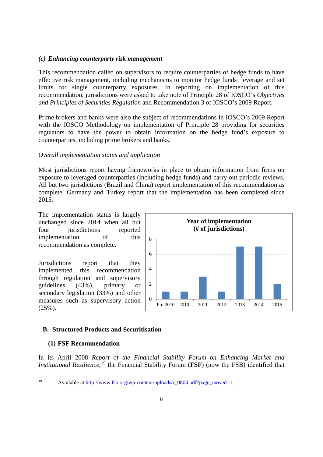#### *(c) Enhancing counterparty risk management*

This recommendation called on supervisors to require counterparties of hedge funds to have effective risk management, including mechanisms to monitor hedge funds' leverage and set limits for single counterparty exposures. In reporting on implementation of this recommendation, jurisdictions were asked to take note of Principle 28 of IOSCO's *Objectives and Principles of Securities Regulation* and Recommendation 3 of IOSCO's 2009 Report.

Prime brokers and banks were also the subject of recommendations in IOSCO's 2009 Report with the IOSCO Methodology on implementation of Principle 28 providing for securities regulators to have the power to obtain information on the hedge fund's exposure to counterparties, including prime brokers and banks.

#### *Overall implementation status and application*

Most jurisdictions report having frameworks in place to obtain information from firms on exposure to leveraged counterparties (including hedge funds) and carry out periodic reviews. All but two jurisdictions (Brazil and China) report implementation of this recommendation as complete. Germany and Turkey report that the implementation has been completed since 2015.

The implementation status is largely unchanged since 2014 when all but four *jurisdictions* reported implementation of this recommendation as complete.

Jurisdictions report that they<br>implemented this recommendation implemented this recommendation through regulation and supervisory guidelines (43%), primary or secondary legislation (33%) and other measures such as supervisory action (25%).



#### <span id="page-10-0"></span>**B. Structured Products and Securitisation**

#### <span id="page-10-1"></span>**(1) FSF Recommendation**

-

In its April 2008 *Report of the Financial Stability Forum on Enhancing Market and Institutional Resilience*, [19](#page-10-2) the Financial Stability Forum (**FSF**) (now the FSB) identified that

<span id="page-10-2"></span><sup>&</sup>lt;sup>19</sup> Available at http://www.fsb.org/wp-content/uploads/r  $0804.pdf$ ?page\_moved=1.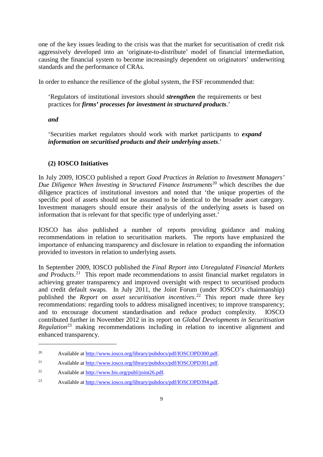one of the key issues leading to the crisis was that the market for securitisation of credit risk aggressively developed into an 'originate-to-distribute' model of financial intermediation, causing the financial system to become increasingly dependent on originators' underwriting standards and the performance of CRAs.

In order to enhance the resilience of the global system, the FSF recommended that:

'Regulators of institutional investors should *strengthen* the requirements or best practices for *firms' processes for investment in structured products*.'

#### *and*

-

'Securities market regulators should work with market participants to *expand information on securitised products and their underlying assets*.'

### <span id="page-11-0"></span>**(2) IOSCO Initiatives**

In July 2009, IOSCO published a report *Good Practices in Relation to Investment Managers' Due Diligence When Investing in Structured Finance Instruments*<sup>[20](#page-11-1)</sup> which describes the due diligence practices of institutional investors and noted that 'the unique properties of the specific pool of assets should not be assumed to be identical to the broader asset category. Investment managers should ensure their analysis of the underlying assets is based on information that is relevant for that specific type of underlying asset.'

IOSCO has also published a number of reports providing guidance and making recommendations in relation to securitisation markets. The reports have emphasized the importance of enhancing transparency and disclosure in relation to expanding the information provided to investors in relation to underlying assets.

In September 2009, IOSCO published the *Final Report into Unregulated Financial Markets and Products*. [21](#page-11-2) This report made recommendations to assist financial market regulators in achieving greater transparency and improved oversight with respect to securitised products and credit default swaps. In July 2011, the Joint Forum (under IOSCO's chairmanship) published the *Report on asset securitisation incentives*. [22](#page-11-3) This report made three key recommendations: regarding tools to address misaligned incentives; to improve transparency; and to encourage document standardisation and reduce product complexity. IOSCO contributed further in November 2012 in its report on *Global Developments in Securitisation Regulation*[23](#page-11-4) making recommendations including in relation to incentive alignment and enhanced transparency.

<span id="page-11-1"></span><sup>20</sup> Available at [http://www.iosco.org/library/pubdocs/pdf/IOSCOPD300.pdf.](http://www.iosco.org/library/pubdocs/pdf/IOSCOPD300.pdf)

<span id="page-11-2"></span><sup>&</sup>lt;sup>21</sup> Available at <u>http://www.iosco.org/library/pubdocs/pdf/IOSCOPD301.pdf</u>.

<span id="page-11-3"></span><sup>22</sup> Available at [http://www.bis.org/publ/joint26.pdf.](http://www.bis.org/publ/joint26.pdf)

<span id="page-11-4"></span><sup>23</sup> Available at [http://www.iosco.org/library/pubdocs/pdf/IOSCOPD394.pdf.](http://www.iosco.org/library/pubdocs/pdf/IOSCOPD394.pdf)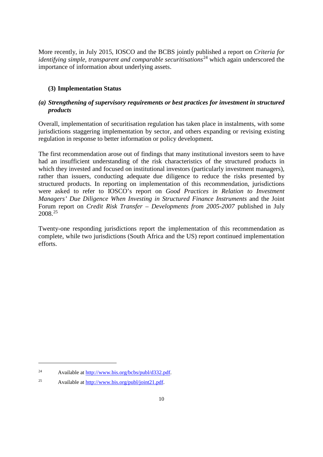More recently, in July 2015, IOSCO and the BCBS jointly published a report on *Criteria for identifying simple, transparent and comparable securitisations*<sup>[24](#page-12-1)</sup> which again underscored the importance of information about underlying assets.

# <span id="page-12-0"></span>**(3) Implementation Status**

# *(a) Strengthening of supervisory requirements or best practices for investment in structured products*

Overall, implementation of securitisation regulation has taken place in instalments, with some jurisdictions staggering implementation by sector, and others expanding or revising existing regulation in response to better information or policy development.

The first recommendation arose out of findings that many institutional investors seem to have had an insufficient understanding of the risk characteristics of the structured products in which they invested and focused on institutional investors (particularly investment managers), rather than issuers, conducting adequate due diligence to reduce the risks presented by structured products. In reporting on implementation of this recommendation, jurisdictions were asked to refer to IOSCO's report on *Good Practices in Relation to Investment Managers' Due Diligence When Investing in Structured Finance Instruments* and the Joint Forum report on *Credit Risk Transfer – Developments from 2005-2007* published in July 2008. [25](#page-12-2)

Twenty-one responding jurisdictions report the implementation of this recommendation as complete, while two jurisdictions (South Africa and the US) report continued implementation efforts.

<span id="page-12-1"></span><sup>24</sup> Available at [http://www.bis.org/bcbs/publ/d332.pdf.](http://www.bis.org/bcbs/publ/d332.pdf)

<span id="page-12-2"></span><sup>25</sup> Available at [http://www.bis.org/publ/joint21.pdf.](http://www.bis.org/publ/joint21.pdf)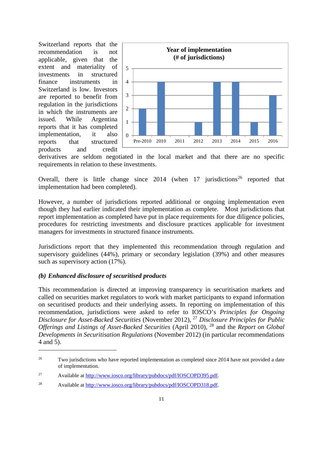Switzerland reports that the recommendation is not applicable, given that the extent and materiality of investments in structured finance instruments in Switzerland is low. Investors are reported to benefit from regulation in the jurisdictions in which the instruments are issued. While Argentina reports that it has completed implementation, it also reports that structured products and credit



derivatives are seldom negotiated in the local market and that there are no specific requirements in relation to these investments.

Overall, there is little change since  $2014$  (when 17 jurisdictions<sup>[26](#page-13-0)</sup> reported that implementation had been completed).

However, a number of jurisdictions reported additional or ongoing implementation even though they had earlier indicated their implementation as complete. Most jurisdictions that report implementation as completed have put in place requirements for due diligence policies, procedures for restricting investments and disclosure practices applicable for investment managers for investments in structured finance instruments.

Jurisdictions report that they implemented this recommendation through regulation and supervisory guidelines (44%), primary or secondary legislation (39%) and other measures such as supervisory action (17%).

#### *(b) Enhanced disclosure of securitised products*

-

This recommendation is directed at improving transparency in securitisation markets and called on securities market regulators to work with market participants to expand information on securitised products and their underlying assets. In reporting on implementation of this recommendation, jurisdictions were asked to refer to IOSCO's *Principles for Ongoing Disclosure for Asset-Backed Securities* (November 2012), [27](#page-13-1) *Disclosure Principles for Public Offerings and Listings of Asset-Backed Securities* (April 2010), [28](#page-13-2) and the *Report on Global Developments in Securitisation Regulations* (November 2012) (in particular recommendations 4 and 5).

<span id="page-13-0"></span><sup>&</sup>lt;sup>26</sup> Two jurisdictions who have reported implementation as completed since 2014 have not provided a date of implementation.

<span id="page-13-1"></span><sup>27</sup> Available at [http://www.iosco.org/library/pubdocs/pdf/IOSCOPD395.pdf.](http://www.iosco.org/library/pubdocs/pdf/IOSCOPD395.pdf)

<span id="page-13-2"></span><sup>28</sup> Available at [http://www.iosco.org/library/pubdocs/pdf/IOSCOPD318.pdf.](http://www.iosco.org/library/pubdocs/pdf/IOSCOPD318.pdf)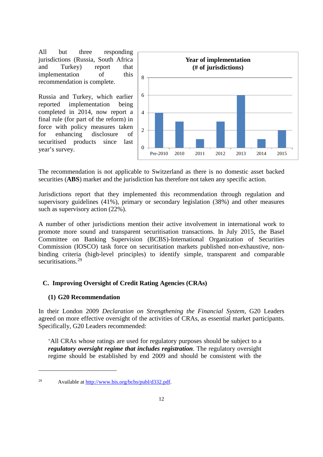All but three responding jurisdictions (Russia, South Africa and Turkey) report that implementation of this recommendation is complete.

Russia and Turkey, which earlier reported implementation being completed in 2014, now report a final rule (for part of the reform) in force with policy measures taken for enhancing disclosure of securitised products since last year's survey.



The recommendation is not applicable to Switzerland as there is no domestic asset backed securities (**ABS**) market and the jurisdiction has therefore not taken any specific action.

Jurisdictions report that they implemented this recommendation through regulation and supervisory guidelines (41%), primary or secondary legislation (38%) and other measures such as supervisory action (22%).

A number of other jurisdictions mention their active involvement in international work to promote more sound and transparent securitisation transactions. In July 2015, the Basel Committee on Banking Supervision (BCBS)-International Organization of Securities Commission (IOSCO) task force on securitisation markets published non-exhaustive, nonbinding criteria (high-level principles) to identify simple, transparent and comparable securitisations.<sup>[29](#page-14-2)</sup>

#### <span id="page-14-0"></span>**C. Improving Oversight of Credit Rating Agencies (CRAs)**

#### <span id="page-14-1"></span>**(1) G20 Recommendation**

<u>.</u>

In their London 2009 *Declaration on Strengthening the Financial System*, G20 Leaders agreed on more effective oversight of the activities of CRAs, as essential market participants. Specifically, G20 Leaders recommended:

'All CRAs whose ratings are used for regulatory purposes should be subject to a *regulatory oversight regime that includes registration*. The regulatory oversight regime should be established by end 2009 and should be consistent with the

<span id="page-14-2"></span><sup>29</sup> Available at [http://www.bis.org/bcbs/publ/d332.pdf.](http://www.bis.org/bcbs/publ/d332.pdf)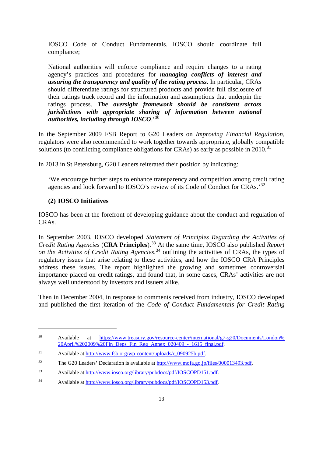IOSCO Code of Conduct Fundamentals. IOSCO should coordinate full compliance;

National authorities will enforce compliance and require changes to a rating agency's practices and procedures for *managing conflicts of interest and assuring the transparency and quality of the rating process*. In particular, CRAs should differentiate ratings for structured products and provide full disclosure of their ratings track record and the information and assumptions that underpin the ratings process. *The oversight framework should be consistent across jurisdictions with appropriate sharing of information between national authorities, including through IOSCO*.' [30](#page-15-1)

In the September 2009 FSB Report to G20 Leaders on *Improving Financial Regulation*, regulators were also recommended to work together towards appropriate, globally compatible solutions (to conflicting compliance obligations for CRAs) as early as possible in  $2010$ .<sup>[31](#page-15-2)</sup>

In 2013 in St Petersburg, G20 Leaders reiterated their position by indicating:

'We encourage further steps to enhance transparency and competition among credit rating agencies and look forward to IOSCO's review of its Code of Conduct for CRAs.'[32](#page-15-3)

#### <span id="page-15-0"></span>**(2) IOSCO Initiatives**

<u>.</u>

IOSCO has been at the forefront of developing guidance about the conduct and regulation of CRAs.

In September 2003, IOSCO developed *Statement of Principles Regarding the Activities of Credit Rating Agencies* (**CRA Principles**). [33](#page-15-4) At the same time, IOSCO also published *Report on the Activities of Credit Rating Agencies*, [34](#page-15-5) outlining the activities of CRAs, the types of regulatory issues that arise relating to these activities, and how the IOSCO CRA Principles address these issues. The report highlighted the growing and sometimes controversial importance placed on credit ratings, and found that, in some cases, CRAs' activities are not always well understood by investors and issuers alike.

Then in December 2004, in response to comments received from industry, IOSCO developed and published the first iteration of the *Code of Conduct Fundamentals for Credit Rating* 

<span id="page-15-1"></span><sup>30</sup> Available at [https://www.treasury.gov/resource-center/international/g7-g20/Documents/London%](https://www.treasury.gov/resource-center/international/g7-g20/Documents/London%20April%202009%20Fin_Deps_Fin_Reg_Annex_020409_-_1615_final.pdf) [20April%202009%20Fin\\_Deps\\_Fin\\_Reg\\_Annex\\_020409\\_-\\_1615\\_final.pdf.](https://www.treasury.gov/resource-center/international/g7-g20/Documents/London%20April%202009%20Fin_Deps_Fin_Reg_Annex_020409_-_1615_final.pdf)

<span id="page-15-2"></span><sup>31</sup> Available at [http://www.fsb.org/wp-content/uploads/r\\_090925b.pdf.](http://www.fsb.org/wp-content/uploads/r_090925b.pdf)

<span id="page-15-3"></span><sup>&</sup>lt;sup>32</sup> The G20 Leaders' Declaration is available at [http://www.mofa.go.jp/files/000013493.pdf.](http://www.mofa.go.jp/files/000013493.pdf)

<span id="page-15-4"></span><sup>33</sup> Available at [http://www.iosco.org/library/pubdocs/pdf/IOSCOPD151.pdf.](http://www.iosco.org/library/pubdocs/pdf/IOSCOPD151.pdf)

<span id="page-15-5"></span><sup>34</sup> Available at [http://www.iosco.org/library/pubdocs/pdf/IOSCOPD153.pdf.](http://www.iosco.org/library/pubdocs/pdf/IOSCOPD153.pdf)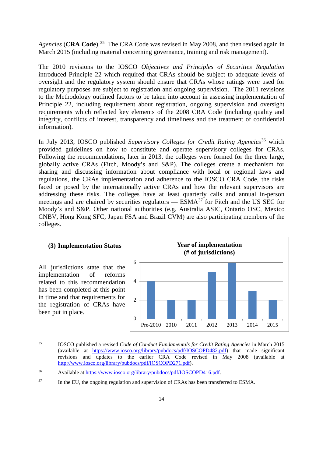*Agencies* (**CRA Code**). [35](#page-16-1) The CRA Code was revised in May 2008, and then revised again in March 2015 (including material concerning governance, training and risk management).

The 2010 revisions to the IOSCO *Objectives and Principles of Securities Regulation* introduced Principle 22 which required that CRAs should be subject to adequate levels of oversight and the regulatory system should ensure that CRAs whose ratings were used for regulatory purposes are subject to registration and ongoing supervision. The 2011 revisions to the Methodology outlined factors to be taken into account in assessing implementation of Principle 22, including requirement about registration, ongoing supervision and oversight requirements which reflected key elements of the 2008 CRA Code (including quality and integrity, conflicts of interest, transparency and timeliness and the treatment of confidential information).

In July 2013, IOSCO published *Supervisory Colleges for Credit Rating Agencies*<sup>[36](#page-16-2)</sup> which provided guidelines on how to constitute and operate supervisory colleges for CRAs. Following the recommendations, later in 2013, the colleges were formed for the three large, globally active CRAs (Fitch, Moody's and S&P). The colleges create a mechanism for sharing and discussing information about compliance with local or regional laws and regulations, the CRAs implementation and adherence to the IOSCO CRA Code, the risks faced or posed by the internationally active CRAs and how the relevant supervisors are addressing these risks. The colleges have at least quarterly calls and annual in-person meetings and are chaired by securities regulators —  $ESMA<sup>37</sup>$  $ESMA<sup>37</sup>$  $ESMA<sup>37</sup>$  for Fitch and the US SEC for Moody's and S&P. Other national authorities (e.g. Australia ASIC, Ontario OSC, Mexico CNBV, Hong Kong SFC, Japan FSA and Brazil CVM) are also participating members of the colleges.

#### <span id="page-16-0"></span>**(3) Implementation Status**

All jurisdictions state that the implementation of reforms related to this recommendation has been completed at this point in time and that requirements for the registration of CRAs have been put in place.



<span id="page-16-1"></span><sup>35</sup> IOSCO published a revised *Code of Conduct Fundamentals for Credit Rating Agencies* in March 2015 (available at [https://www.iosco.org/library/pubdocs/pdf/IOSCOPD482.pdf\)](https://www.iosco.org/library/pubdocs/pdf/IOSCOPD482.pdf) that made significant revisions and updates to the earlier CRA Code revised in May 2008 (available at [http://www.iosco.org/library/pubdocs/pdf/IOSCOPD271.pdf\)](http://www.iosco.org/library/pubdocs/pdf/IOSCOPD271.pdf).

<span id="page-16-2"></span><sup>36</sup> Available at [https://www.iosco.org/library/pubdocs/pdf/IOSCOPD416.pdf.](https://www.iosco.org/library/pubdocs/pdf/IOSCOPD416.pdf)

<span id="page-16-3"></span><sup>&</sup>lt;sup>37</sup> In the EU, the ongoing regulation and supervision of CRAs has been transferred to ESMA.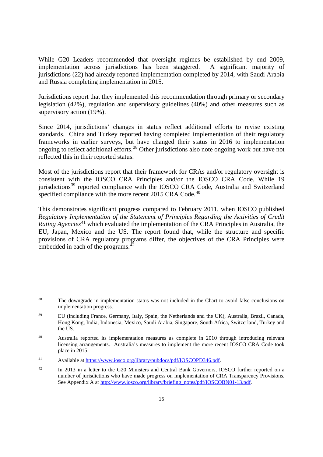While G20 Leaders recommended that oversight regimes be established by end 2009, implementation across jurisdictions has been staggered. A significant majority of jurisdictions (22) had already reported implementation completed by 2014, with Saudi Arabia and Russia completing implementation in 2015.

Jurisdictions report that they implemented this recommendation through primary or secondary legislation (42%), regulation and supervisory guidelines (40%) and other measures such as supervisory action (19%).

Since 2014, jurisdictions' changes in status reflect additional efforts to revise existing standards. China and Turkey reported having completed implementation of their regulatory frameworks in earlier surveys, but have changed their status in 2016 to implementation ongoing to reflect additional efforts. [38](#page-17-0) Other jurisdictions also note ongoing work but have not reflected this in their reported status.

Most of the jurisdictions report that their framework for CRAs and/or regulatory oversight is consistent with the IOSCO CRA Principles and/or the IOSCO CRA Code. While 19 jurisdictions<sup>[39](#page-17-1)</sup> reported compliance with the IOSCO CRA Code, Australia and Switzerland specified compliance with the more recent 2015 CRA Code.<sup>[40](#page-17-2)</sup>

This demonstrates significant progress compared to February 2011, when IOSCO published *Regulatory Implementation of the Statement of Principles Regarding the Activities of Credit Rating Agencies*<sup>[41](#page-17-3)</sup> which evaluated the implementation of the CRA Principles in Australia, the EU, Japan, Mexico and the US. The report found that, while the structure and specific provisions of CRA regulatory programs differ, the objectives of the CRA Principles were embedded in each of the programs. $42$ 

<span id="page-17-0"></span><sup>&</sup>lt;sup>38</sup> The downgrade in implementation status was not included in the Chart to avoid false conclusions on implementation progress.

<span id="page-17-1"></span><sup>39</sup> EU (including France, Germany, Italy, Spain, the Netherlands and the UK), Australia, Brazil, Canada, Hong Kong, India, Indonesia, Mexico, Saudi Arabia, Singapore, South Africa, Switzerland, Turkey and the US.

<span id="page-17-2"></span><sup>&</sup>lt;sup>40</sup> Australia reported its implementation measures as complete in 2010 through introducing relevant licensing arrangements. Australia's measures to implement the more recent IOSCO CRA Code took place in 2015.

<span id="page-17-3"></span><sup>41</sup> Available at [https://www.iosco.org/library/pubdocs/pdf/IOSCOPD346.pdf.](https://www.iosco.org/library/pubdocs/pdf/IOSCOPD346.pdf)

<span id="page-17-4"></span><sup>&</sup>lt;sup>42</sup> In 2013 in a letter to the G20 Ministers and Central Bank Governors, IOSCO further reported on a number of jurisdictions who have made progress on implementation of CRA Transparency Provisions. See Appendix A at [http://www.iosco.org/library/briefing\\_notes/pdf/IOSCOBN01-13.pdf.](http://www.iosco.org/library/briefing_notes/pdf/IOSCOBN01-13.pdf)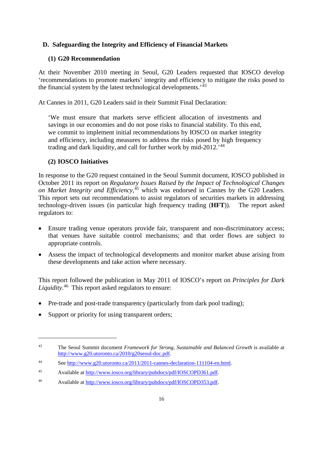# <span id="page-18-0"></span>**D. Safeguarding the Integrity and Efficiency of Financial Markets**

#### <span id="page-18-1"></span>**(1) G20 Recommendation**

At their November 2010 meeting in Seoul, G20 Leaders requested that IOSCO develop 'recommendations to promote markets' integrity and efficiency to mitigate the risks posed to the financial system by the latest technological developments.<sup>'[43](#page-18-3)</sup>

At Cannes in 2011, G20 Leaders said in their Summit Final Declaration:

'We must ensure that markets serve efficient allocation of investments and savings in our economies and do not pose risks to financial stability. To this end, we commit to implement initial recommendations by IOSCO on market integrity and efficiency, including measures to address the risks posed by high frequency trading and dark liquidity, and call for further work by  $mid-2012.^{44}$  $mid-2012.^{44}$  $mid-2012.^{44}$ 

## <span id="page-18-2"></span>**(2) IOSCO Initiatives**

In response to the G20 request contained in the Seoul Summit document, IOSCO published in October 2011 its report on *Regulatory Issues Raised by the Impact of Technological Changes on Market Integrity and Efficiency*, [45](#page-18-5) which was endorsed in Cannes by the G20 Leaders. This report sets out recommendations to assist regulators of securities markets in addressing technology-driven issues (in particular high frequency trading (**HFT**)). The report asked regulators to:

- Ensure trading venue operators provide fair, transparent and non-discriminatory access; that venues have suitable control mechanisms; and that order flows are subject to appropriate controls.
- Assess the impact of technological developments and monitor market abuse arising from these developments and take action where necessary.

This report followed the publication in May 2011 of IOSCO's report on *Principles for Dark Liquidity*. [46](#page-18-6) This report asked regulators to ensure:

- Pre-trade and post-trade transparency (particularly from dark pool trading);
- Support or priority for using transparent orders;

<span id="page-18-3"></span><sup>43</sup> The Seoul Summit document *Framework for Strong, Sustainable and Balanced Growth* is available at [http://www.g20.utoronto.ca/2010/g20seoul-doc.pdf.](http://www.g20.utoronto.ca/2010/g20seoul-doc.pdf)

<span id="page-18-4"></span><sup>44</sup> See [http://www.g20.utoronto.ca/2011/2011-cannes-declaration-111104-en.html.](http://www.g20.utoronto.ca/2011/2011-cannes-declaration-111104-en.html)

<span id="page-18-5"></span><sup>45</sup> Available at [http://www.iosco.org/library/pubdocs/pdf/IOSCOPD361.pdf.](http://www.iosco.org/library/pubdocs/pdf/IOSCOPD361.pdf)

<span id="page-18-6"></span><sup>46</sup> Available at [http://www.iosco.org/library/pubdocs/pdf/IOSCOPD353.pdf.](http://www.iosco.org/library/pubdocs/pdf/IOSCOPD353.pdf)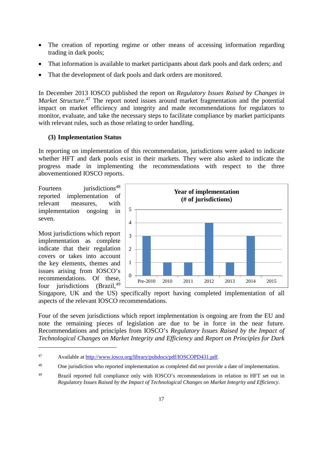- The creation of reporting regime or other means of accessing information regarding trading in dark pools;
- That information is available to market participants about dark pools and dark orders; and
- That the development of dark pools and dark orders are monitored.

In December 2013 IOSCO published the report on *Regulatory Issues Raised by Changes in*  Market Structure.<sup>[47](#page-19-1)</sup> The report noted issues around market fragmentation and the potential impact on market efficiency and integrity and made recommendations for regulators to monitor, evaluate, and take the necessary steps to facilitate compliance by market participants with relevant rules, such as those relating to order handling.

# <span id="page-19-0"></span>**(3) Implementation Status**

In reporting on implementation of this recommendation, jurisdictions were asked to indicate whether HFT and dark pools exist in their markets. They were also asked to indicate the progress made in implementing the recommendations with respect to the three abovementioned IOSCO reports.

Fourteen jurisdictions<sup>[48](#page-19-2)</sup> reported implementation of relevant measures, with implementation ongoing in seven.

Most jurisdictions which report implementation as complete indicate that their regulation covers or takes into account the key elements, themes and issues arising from IOSCO's recommendations. Of these, four jurisdictions  $(Brazil, <sup>49</sup>)$  $(Brazil, <sup>49</sup>)$  $(Brazil, <sup>49</sup>)$ 

-



Singapore, UK and the US) specifically report having completed implementation of all aspects of the relevant IOSCO recommendations.

Four of the seven jurisdictions which report implementation is ongoing are from the EU and note the remaining pieces of legislation are due to be in force in the near future. Recommendations and principles from IOSCO's *Regulatory Issues Raised by the Impact of Technological Changes on Market Integrity and Efficiency* and *Report on Principles for Dark* 

<span id="page-19-1"></span><sup>47</sup> Available at [http://www.iosco.org/library/pubdocs/pdf/IOSCOPD431.pdf.](http://www.iosco.org/library/pubdocs/pdf/IOSCOPD431.pdf)

<span id="page-19-2"></span><sup>&</sup>lt;sup>48</sup> One jurisdiction who reported implementation as completed did not provide a date of implementation.

<span id="page-19-3"></span><sup>&</sup>lt;sup>49</sup> Brazil reported full compliance only with IOSCO's recommendations in relation to HFT set out in *Regulatory Issues Raised by the Impact of Technological Changes on Market Integrity and Efficiency*.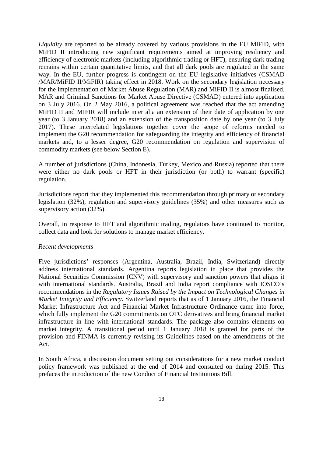*Liquidity* are reported to be already covered by various provisions in the EU MiFID, with MiFID II introducing new significant requirements aimed at improving resiliency and efficiency of electronic markets (including algorithmic trading or HFT), ensuring dark trading remains within certain quantitative limits, and that all dark pools are regulated in the same way. In the EU, further progress is contingent on the EU legislative initiatives (CSMAD /MAR/MiFID II/MiFIR) taking effect in 2018. Work on the secondary legislation necessary for the implementation of Market Abuse Regulation (MAR) and MiFID II is almost finalised. MAR and Criminal Sanctions for Market Abuse Directive (CSMAD) entered into application on 3 July 2016. On 2 May 2016, a political agreement was reached that the act amending MiFID II and MIFIR will include inter alia an extension of their date of application by one year (to 3 January 2018) and an extension of the transposition date by one year (to 3 July 2017). These interrelated legislations together cover the scope of reforms needed to implement the G20 recommendation for safeguarding the integrity and efficiency of financial markets and, to a lesser degree, G20 recommendation on regulation and supervision of commodity markets (see below Section E).

A number of jurisdictions (China, Indonesia, Turkey, Mexico and Russia) reported that there were either no dark pools or HFT in their jurisdiction (or both) to warrant (specific) regulation.

Jurisdictions report that they implemented this recommendation through primary or secondary legislation (32%), regulation and supervisory guidelines (35%) and other measures such as supervisory action (32%).

Overall, in response to HFT and algorithmic trading, regulators have continued to monitor, collect data and look for solutions to manage market efficiency.

#### *Recent developments*

Five jurisdictions' responses (Argentina, Australia, Brazil, India, Switzerland) directly address international standards. Argentina reports legislation in place that provides the National Securities Commission (CNV) with supervisory and sanction powers that aligns it with international standards. Australia, Brazil and India report compliance with IOSCO's recommendations in the *Regulatory Issues Raised by the Impact on Technological Changes in Market Integrity and Efficiency*. Switzerland reports that as of 1 January 2016, the Financial Market Infrastructure Act and Financial Market Infrastructure Ordinance came into force, which fully implement the G20 commitments on OTC derivatives and bring financial market infrastructure in line with international standards. The package also contains elements on market integrity. A transitional period until 1 January 2018 is granted for parts of the provision and FINMA is currently revising its Guidelines based on the amendments of the Act.

In South Africa, a discussion document setting out considerations for a new market conduct policy framework was published at the end of 2014 and consulted on during 2015. This prefaces the introduction of the new Conduct of Financial Institutions Bill.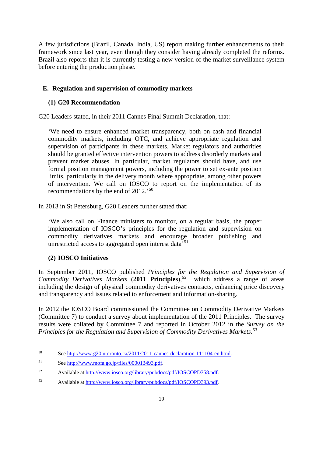A few jurisdictions (Brazil, Canada, India, US) report making further enhancements to their framework since last year, even though they consider having already completed the reforms. Brazil also reports that it is currently testing a new version of the market surveillance system before entering the production phase.

# <span id="page-21-0"></span>**E. Regulation and supervision of commodity markets**

# <span id="page-21-1"></span>**(1) G20 Recommendation**

G20 Leaders stated, in their 2011 Cannes Final Summit Declaration, that:

'We need to ensure enhanced market transparency, both on cash and financial commodity markets, including OTC, and achieve appropriate regulation and supervision of participants in these markets. Market regulators and authorities should be granted effective intervention powers to address disorderly markets and prevent market abuses. In particular, market regulators should have, and use formal position management powers, including the power to set ex-ante position limits, particularly in the delivery month where appropriate, among other powers of intervention. We call on IOSCO to report on the implementation of its recommendations by the end of 2012.'[50](#page-21-3)

In 2013 in St Petersburg, G20 Leaders further stated that:

'We also call on Finance ministers to monitor, on a regular basis, the proper implementation of IOSCO's principles for the regulation and supervision on commodity derivatives markets and encourage broader publishing and unrestricted access to aggregated open interest data $^{51}$  $^{51}$  $^{51}$ 

# <span id="page-21-2"></span>**(2) IOSCO Initiatives**

-

In September 2011, IOSCO published *Principles for the Regulation and Supervision of Commodity Derivatives Markets* (**2011 Principles**), [52](#page-21-5) which address a range of areas including the design of physical commodity derivatives contracts, enhancing price discovery and transparency and issues related to enforcement and information-sharing.

In 2012 the IOSCO Board commissioned the Committee on Commodity Derivative Markets (Committee 7) to conduct a survey about implementation of the 2011 Principles. The survey results were collated by Committee 7 and reported in October 2012 in the *Survey on the Principles for the Regulation and Supervision of Commodity Derivatives Markets*. [53](#page-21-6)

<span id="page-21-3"></span><sup>50</sup> See [http://www.g20.utoronto.ca/2011/2011-cannes-declaration-111104-en.html.](http://www.g20.utoronto.ca/2011/2011-cannes-declaration-111104-en.html)

<span id="page-21-4"></span><sup>51</sup> See [http://www.mofa.go.jp/files/000013493.pdf.](http://www.mofa.go.jp/files/000013493.pdf)

<span id="page-21-5"></span><sup>52</sup> Available at [http://www.iosco.org/library/pubdocs/pdf/IOSCOPD358.pdf.](http://www.iosco.org/library/pubdocs/pdf/IOSCOPD358.pdf)

<span id="page-21-6"></span><sup>53</sup> Available at [http://www.iosco.org/library/pubdocs/pdf/IOSCOPD393.pdf.](http://www.iosco.org/library/pubdocs/pdf/IOSCOPD393.pdf)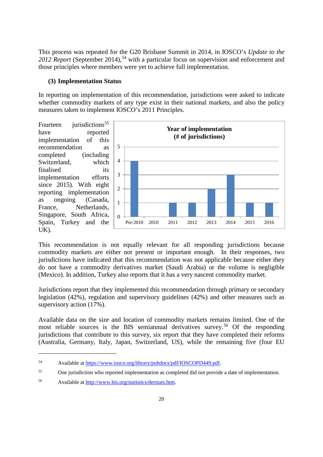This process was repeated for the G20 Brisbane Summit in 2014, in IOSCO's *Update to the 2012 Report* (September 2014), [54](#page-22-1) with a particular focus on supervision and enforcement and those principles where members were yet to achieve full implementation.

#### <span id="page-22-0"></span>**(3) Implementation Status**

In reporting on implementation of this recommendation, jurisdictions were asked to indicate whether commodity markets of any type exist in their national markets, and also the policy measures taken to implement IOSCO's 2011 Principles.

Fourteen jurisdictions<sup>[55](#page-22-2)</sup> have reported implementation of this recommendation as completed (including Switzerland, which finalised its implementation efforts since 2015). With eight reporting implementation as ongoing (Canada, France, Netherlands, Singapore, South Africa, Spain, Turkey and the UK).

<u>.</u>



This recommendation is not equally relevant for all responding jurisdictions because commodity markets are either not present or important enough. In their responses, two jurisdictions have indicated that this recommendation was not applicable because either they do not have a commodity derivatives market (Saudi Arabia) or the volume is negligible (Mexico). In addition, Turkey also reports that it has a very nascent commodity market.

Jurisdictions report that they implemented this recommendation through primary or secondary legislation (42%), regulation and supervisory guidelines (42%) and other measures such as supervisory action (17%).

Available data on the size and location of commodity markets remains limited. One of the most reliable sources is the BIS semiannual derivatives survey.<sup>[56](#page-22-3)</sup> Of the responding jurisdictions that contribute to this survey, six report that they have completed their reforms (Australia, Germany, Italy, Japan, Switzerland, US), while the remaining five (four EU

<span id="page-22-1"></span><sup>54</sup> Available at [https://www.iosco.org/library/pubdocs/pdf/IOSCOPD449.pdf.](https://www.iosco.org/library/pubdocs/pdf/IOSCOPD449.pdf)

<span id="page-22-2"></span><sup>55</sup> One jurisdiction who reported implementation as completed did not provide a date of implementation.

<span id="page-22-3"></span><sup>56</sup> Available at [http://www.bis.org/statistics/derstats.htm.](http://www.bis.org/statistics/derstats.htm)